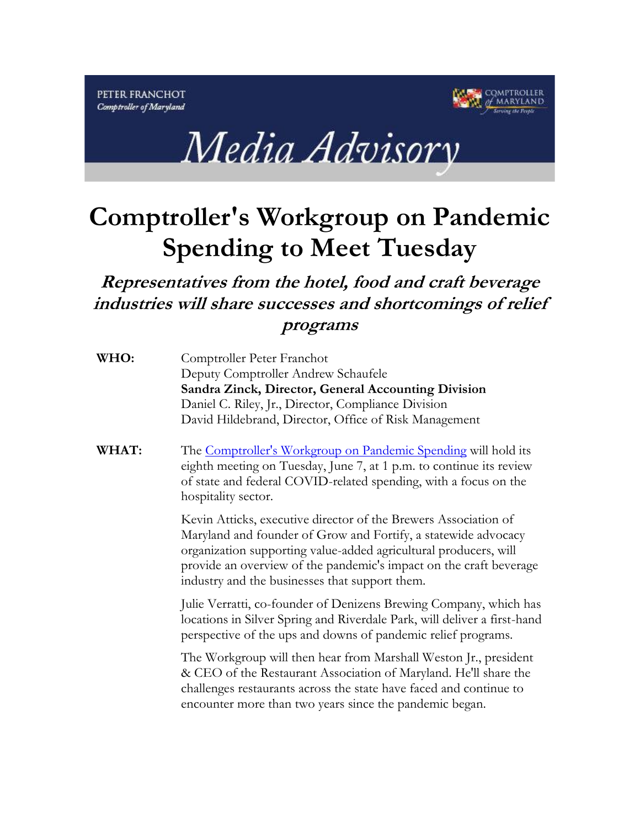



## **Comptroller's Workgroup on Pandemic Spending to Meet Tuesday**

**Representatives from the hotel, food and craft beverage industries will share successes and shortcomings of relief programs**

| WHO: | Comptroller Peter Franchot                            |
|------|-------------------------------------------------------|
|      | Deputy Comptroller Andrew Schaufele                   |
|      | Sandra Zinck, Director, General Accounting Division   |
|      | Daniel C. Riley, Jr., Director, Compliance Division   |
|      | David Hildebrand, Director, Office of Risk Management |

**WHAT:** The [Comptroller's Workgroup on Pandemic Spending](https://gcc02.safelinks.protection.outlook.com/?url=https%3A%2F%2Flnks.gd%2Fl%2FeyJhbGciOiJIUzI1NiJ9.eyJidWxsZXRpbl9saW5rX2lkIjoxMDEsInVyaSI6ImJwMjpjbGljayIsImJ1bGxldGluX2lkIjoiMjAyMjA2MDYuNTg5NjUyMDEiLCJ1cmwiOiJodHRwczovL21hcnlsYW5kdGF4ZXMuZ292L1JFTElFRkFjdC9TcGVuZGluZ1dvcmtncm91cC5waHA_dXRtX21lZGl1bT1lbWFpbCZ1dG1fc291cmNlPWdvdmRlbGl2ZXJ5In0.OAPSQKT1tYmzDdzY4-oYqUDKu7sFu9Tt9yPWh7XZAS0%2Fs%2F774328301%2Fbr%2F132475563272-l&data=05%7C01%7CMOPREY%40marylandtaxes.gov%7C1e532f927f2f4f98687608da47d90bd8%7C4175adb602d24b79bb6cefc714800747%7C0%7C0%7C637901294806528713%7CUnknown%7CTWFpbGZsb3d8eyJWIjoiMC4wLjAwMDAiLCJQIjoiV2luMzIiLCJBTiI6Ik1haWwiLCJXVCI6Mn0%3D%7C3000%7C%7C%7C&sdata=Svf0ESNXm5fpJW6Q3xKIlraJpKYQ9IMiz47TKxPnZBw%3D&reserved=0) will hold its eighth meeting on Tuesday, June 7, at 1 p.m. to continue its review of state and federal COVID-related spending, with a focus on the hospitality sector.

> Kevin Atticks, executive director of the Brewers Association of Maryland and founder of Grow and Fortify, a statewide advocacy organization supporting value-added agricultural producers, will provide an overview of the pandemic's impact on the craft beverage industry and the businesses that support them.

Julie Verratti, co-founder of Denizens Brewing Company, which has locations in Silver Spring and Riverdale Park, will deliver a first-hand perspective of the ups and downs of pandemic relief programs.

The Workgroup will then hear from Marshall Weston Jr., president & CEO of the Restaurant Association of Maryland. He'll share the challenges restaurants across the state have faced and continue to encounter more than two years since the pandemic began.